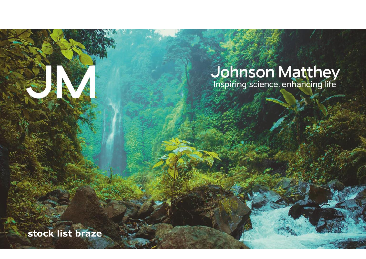## **Johnson Matthey**<br>Inspiring science, enhancing life

**stock list braze**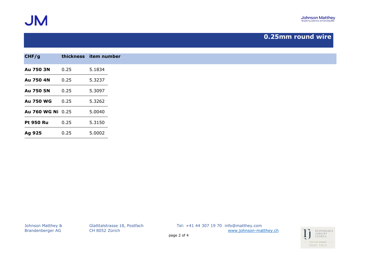

## **0.25mm round wire**

| CHF/g             | thickness item number |        |
|-------------------|-----------------------|--------|
| Au 750 3N         | 0.25                  | 5.1834 |
| Au 750 4N         | 0.25                  | 5.3237 |
| Au 750 5N         | 0.25                  | 5.3097 |
| <b>Au 750 WG</b>  | 0.25                  | 5.3262 |
| Au 760 WG Ni 0.25 |                       | 5.0040 |
| <b>Pt 950 Ru</b>  | 0.25                  | 5.3150 |
| Ag 925            | 0.25                  | 5.0002 |

Brandenberger AG CH 8052 Zürich [www.johnson-matthey.ch](http://www.johnson-matthey.c/)

Johnson Matthey & Glatttalstrasse 18, Postfach Tel: +41 44 307 19 70 info@matthey.com

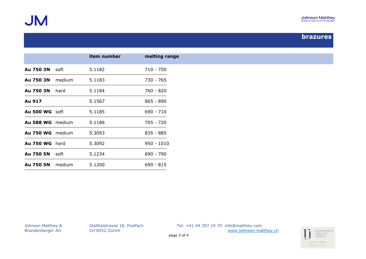

## **brazures**

|                       | item number | melting range |
|-----------------------|-------------|---------------|
| <b>Au 750 3N</b> soft | 5.1182      | 710 - 750     |
| Au 750 3N medium      | 5.1183      | 730 - 765     |
| <b>Au 750 3N</b> hard | 5.1184      | 760 - 820     |
| Au 917                | 5.1567      | $865 - 890$   |
| <b>Au 500 WG soft</b> | 5.1185      | $690 - 710$   |
| Au 588 WG medium      | 5.1186      | $705 - 720$   |
| Au 750 WG medium      | 5.3093      | $835 - 885$   |
| <b>Au 750 WG</b> hard | 5.3092      | $950 - 1010$  |
| <b>Au 750 5N</b> soft | 5.1234      | 690 - 790     |
| Au 750 5N medium      | 5.1200      | $690 - 815$   |

Johnson Matthey & Glatttalstrasse 18, Postfach Tel: +41 44 307 19 70 info@matthey.com Brandenberger AG CH 8052 Zürich [www.johnson-matthey.ch](http://www.johnson-matthey.c/)